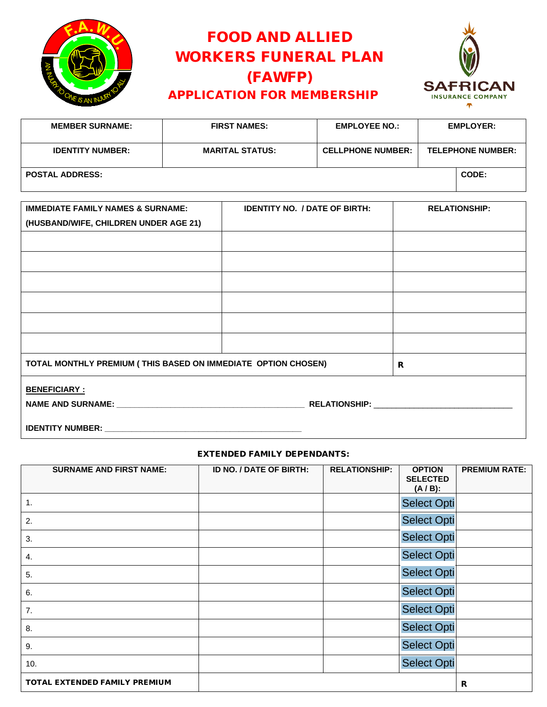

# FOOD AND ALLIED WORKERS FUNERAL PLAN (FAWFP) APPLICATION FOR MEMBERSHIP



| <b>MEMBER SURNAME:</b>  | <b>FIRST NAMES:</b>    | <b>EMPLOYEE NO.:</b>     | <b>EMPLOYER:</b>         |
|-------------------------|------------------------|--------------------------|--------------------------|
| <b>IDENTITY NUMBER:</b> | <b>MARITAL STATUS:</b> | <b>CELLPHONE NUMBER:</b> | <b>TELEPHONE NUMBER:</b> |
| <b>POSTAL ADDRESS:</b>  |                        |                          | CODE:                    |

| <b>IMMEDIATE FAMILY NAMES &amp; SURNAME:</b>                  | <b>IDENTITY NO. / DATE OF BIRTH:</b> | <b>RELATIONSHIP:</b> |
|---------------------------------------------------------------|--------------------------------------|----------------------|
| (HUSBAND/WIFE, CHILDREN UNDER AGE 21)                         |                                      |                      |
|                                                               |                                      |                      |
|                                                               |                                      |                      |
|                                                               |                                      |                      |
|                                                               |                                      |                      |
|                                                               |                                      |                      |
|                                                               |                                      |                      |
|                                                               |                                      |                      |
| TOTAL MONTHLY PREMIUM (THIS BASED ON IMMEDIATE OPTION CHOSEN) | R                                    |                      |
| <b>BENEFICIARY:</b>                                           |                                      |                      |
|                                                               |                                      |                      |
|                                                               |                                      |                      |

# EXTENDED FAMILY DEPENDANTS:

| <b>SURNAME AND FIRST NAME:</b> | ID NO. / DATE OF BIRTH: | <b>RELATIONSHIP:</b> | <b>OPTION</b><br><b>SELECTED</b><br>$(A/B)$ : | <b>PREMIUM RATE:</b> |
|--------------------------------|-------------------------|----------------------|-----------------------------------------------|----------------------|
| 1.                             |                         |                      | <b>Select Opti</b>                            |                      |
| 2.                             |                         |                      | <b>Select Opti</b>                            |                      |
| 3.                             |                         |                      | <b>Select Opti</b>                            |                      |
| 4.                             |                         |                      | <b>Select Opti</b>                            |                      |
| 5.                             |                         |                      | <b>Select Opti</b>                            |                      |
| 6.                             |                         |                      | <b>Select Opti</b>                            |                      |
| 7.                             |                         |                      | <b>Select Opti</b>                            |                      |
| 8.                             |                         |                      | <b>Select Opti</b>                            |                      |
| 9.                             |                         |                      | <b>Select Opti</b>                            |                      |
| 10.                            |                         |                      | <b>Select Opti</b>                            |                      |
| TOTAL EXTENDED FAMILY PREMIUM  |                         |                      |                                               | R                    |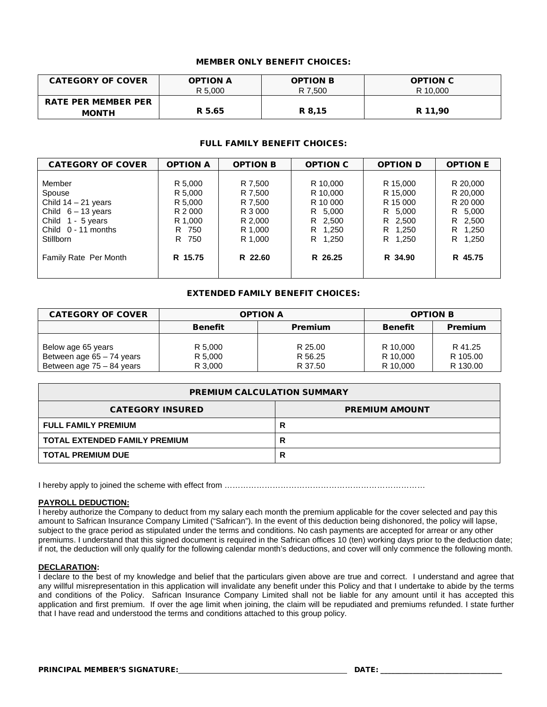# MEMBER ONLY BENEFIT CHOICES:

| <b>CATEGORY OF COVER</b>                   | <b>OPTION A</b> | <b>OPTION B</b> | <b>OPTION C</b> |
|--------------------------------------------|-----------------|-----------------|-----------------|
|                                            | R 5.000         | R 7,500         | R 10,000        |
| <b>RATE PER MEMBER PER</b><br><b>MONTH</b> | R 5.65          | R 8,15          | R 11.90         |

# FULL FAMILY BENEFIT CHOICES:

| <b>CATEGORY OF COVER</b>                                                                                                            | <b>OPTION A</b>                                                           | <b>OPTION B</b>                                                           | <b>OPTION C</b>                                                              | <b>OPTION D</b>                                                              | <b>OPTION E</b>                                                                  |
|-------------------------------------------------------------------------------------------------------------------------------------|---------------------------------------------------------------------------|---------------------------------------------------------------------------|------------------------------------------------------------------------------|------------------------------------------------------------------------------|----------------------------------------------------------------------------------|
| Member<br>Spouse<br>Child $14 - 21$ years<br>Child $6 - 13$ years<br>Child 1 - 5 years<br>Child $0 - 11$ months<br><b>Stillborn</b> | R 5,000<br>R 5,000<br>R 5,000<br>R 2 000<br>R 1,000<br>R 750<br>750<br>R. | R 7,500<br>R 7.500<br>R 7,500<br>R 3 000<br>R 2,000<br>R 1,000<br>R 1.000 | R 10,000<br>R 10.000<br>R 10 000<br>R 5,000<br>R 2,500<br>R 1,250<br>R 1,250 | R 15,000<br>R 15,000<br>R 15 000<br>R 5.000<br>R 2,500<br>R 1,250<br>R 1,250 | R 20,000<br>R 20,000<br>R 20 000<br>R 5,000<br>R 2,500<br>R 1,250<br>R.<br>1,250 |
| Family Rate Per Month                                                                                                               | R 15.75                                                                   | R 22.60                                                                   | R 26.25                                                                      | R 34.90                                                                      | R 45.75                                                                          |

# EXTENDED FAMILY BENEFIT CHOICES:

| <b>CATEGORY OF COVER</b>                                                       | <b>OPTION A</b>               |                               | <b>OPTION B</b>                  |                                 |
|--------------------------------------------------------------------------------|-------------------------------|-------------------------------|----------------------------------|---------------------------------|
|                                                                                | <b>Benefit</b>                | <b>Premium</b>                | <b>Benefit</b>                   | <b>Premium</b>                  |
| Below age 65 years<br>Between age $65 - 74$ years<br>Between age 75 - 84 years | R 5,000<br>R 5,000<br>R 3,000 | R 25.00<br>R 56.25<br>R 37.50 | R 10.000<br>R 10.000<br>R 10,000 | R 41.25<br>R 105.00<br>R 130.00 |

| <b>PREMIUM CALCULATION SUMMARY</b> |                       |  |  |
|------------------------------------|-----------------------|--|--|
| <b>CATEGORY INSURED</b>            | <b>PREMIUM AMOUNT</b> |  |  |
| <b>FULL FAMILY PREMIUM</b>         |                       |  |  |
| TOTAL EXTENDED FAMILY PREMIUM      |                       |  |  |
| <b>TOTAL PREMIUM DUE</b>           |                       |  |  |

I hereby apply to joined the scheme with effect from …………………………………………………………………

# **PAYROLL DEDUCTION:**

I hereby authorize the Company to deduct from my salary each month the premium applicable for the cover selected and pay this amount to Safrican Insurance Company Limited ("Safrican"). In the event of this deduction being dishonored, the policy will lapse, subject to the grace period as stipulated under the terms and conditions. No cash payments are accepted for arrear or any other premiums. I understand that this signed document is required in the Safrican offices 10 (ten) working days prior to the deduction date; if not, the deduction will only qualify for the following calendar month's deductions, and cover will only commence the following month.

# **DECLARATION:**

I declare to the best of my knowledge and belief that the particulars given above are true and correct. I understand and agree that any willful misrepresentation in this application will invalidate any benefit under this Policy and that I undertake to abide by the terms and conditions of the Policy. Safrican Insurance Company Limited shall not be liable for any amount until it has accepted this application and first premium. If over the age limit when joining, the claim will be repudiated and premiums refunded. I state further that I have read and understood the terms and conditions attached to this group policy.